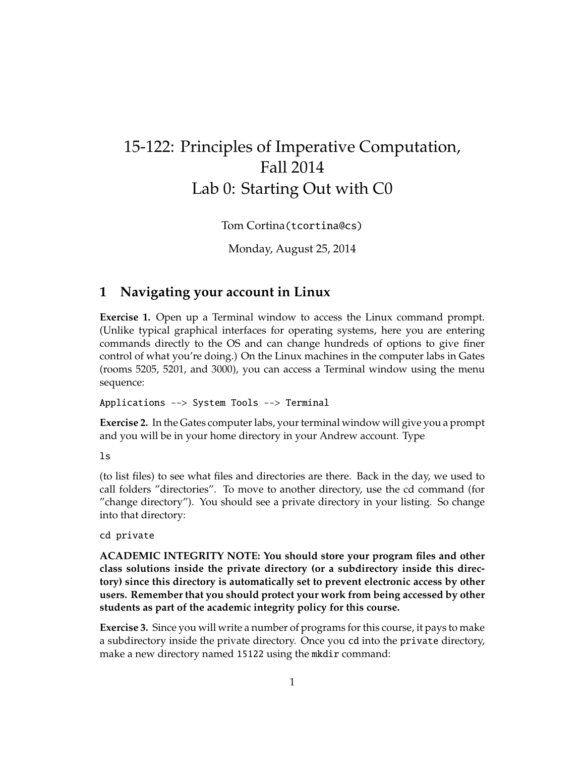# 15-122: Principles of Imperative Computation, Fall 2014 Lab 0: Starting Out with C0

Tom Cortina(tcortina@cs)

Monday, August 25, 2014

## **1 Navigating your account in Linux**

**Exercise 1.** Open up a Terminal window to access the Linux command prompt. (Unlike typical graphical interfaces for operating systems, here you are entering commands directly to the OS and can change hundreds of options to give finer control of what you're doing.) On the Linux machines in the computer labs in Gates (rooms 5205, 5201, and 3000), you can access a Terminal window using the menu sequence:

Applications --> System Tools --> Terminal

**Exercise 2.** In the Gates computer labs, your terminal window will give you a prompt and you will be in your home directory in your Andrew account. Type

ls

(to list files) to see what files and directories are there. Back in the day, we used to call folders "directories". To move to another directory, use the cd command (for "change directory"). You should see a private directory in your listing. So change into that directory:

cd private

**ACADEMIC INTEGRITY NOTE: You should store your program files and other class solutions inside the private directory (or a subdirectory inside this directory) since this directory is automatically set to prevent electronic access by other users. Remember that you should protect your work from being accessed by other students as part of the academic integrity policy for this course.**

**Exercise 3.** Since you will write a number of programs for this course, it pays to make a subdirectory inside the private directory. Once you cd into the private directory, make a new directory named 15122 using the mkdir command: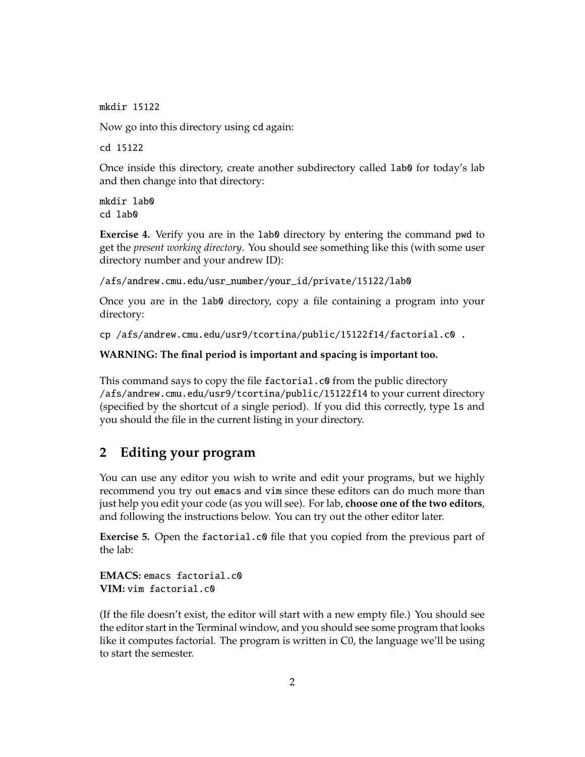mkdir 15122

Now go into this directory using cd again:

cd 15122

Once inside this directory, create another subdirectory called lab0 for today's lab and then change into that directory:

mkdir lab0 cd lab0

**Exercise 4.** Verify you are in the lab0 directory by entering the command pwd to get the *present working directory*. You should see something like this (with some user directory number and your andrew ID):

/afs/andrew.cmu.edu/usr\_number/your\_id/private/15122/lab0

Once you are in the lab0 directory, copy a file containing a program into your directory:

cp /afs/andrew.cmu.edu/usr9/tcortina/public/15122f14/factorial.c0 .

**WARNING: The final period is important and spacing is important too.**

This command says to copy the file factorial.c0 from the public directory /afs/andrew.cmu.edu/usr9/tcortina/public/15122f14 to your current directory (specified by the shortcut of a single period). If you did this correctly, type ls and you should the file in the current listing in your directory.

#### **2 Editing your program**

You can use any editor you wish to write and edit your programs, but we highly recommend you try out emacs and vim since these editors can do much more than just help you edit your code (as you will see). For lab, **choose one of the two editors**, and following the instructions below. You can try out the other editor later.

**Exercise 5.** Open the factorial.c0 file that you copied from the previous part of the lab:

**EMACS:** emacs factorial.c0 **VIM:** vim factorial.c0

(If the file doesn't exist, the editor will start with a new empty file.) You should see the editor start in the Terminal window, and you should see some program that looks like it computes factorial. The program is written in C0, the language we'll be using to start the semester.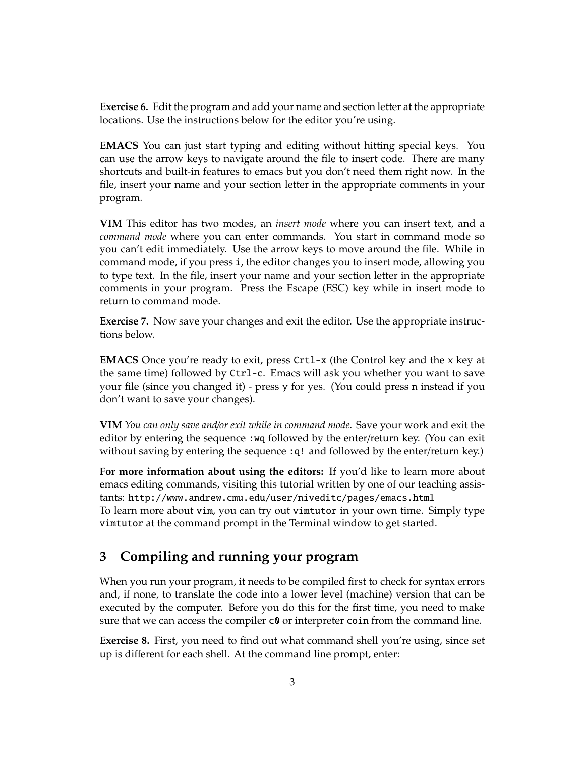**Exercise 6.** Edit the program and add your name and section letter at the appropriate locations. Use the instructions below for the editor you're using.

**EMACS** You can just start typing and editing without hitting special keys. You can use the arrow keys to navigate around the file to insert code. There are many shortcuts and built-in features to emacs but you don't need them right now. In the file, insert your name and your section letter in the appropriate comments in your program.

**VIM** This editor has two modes, an *insert mode* where you can insert text, and a *command mode* where you can enter commands. You start in command mode so you can't edit immediately. Use the arrow keys to move around the file. While in command mode, if you press i, the editor changes you to insert mode, allowing you to type text. In the file, insert your name and your section letter in the appropriate comments in your program. Press the Escape (ESC) key while in insert mode to return to command mode.

**Exercise 7.** Now save your changes and exit the editor. Use the appropriate instructions below.

**EMACS** Once you're ready to exit, press Crtl-x (the Control key and the x key at the same time) followed by Ctrl-c. Emacs will ask you whether you want to save your file (since you changed it) - press y for yes. (You could press n instead if you don't want to save your changes).

**VIM** *You can only save and*/*or exit while in command mode.* Save your work and exit the editor by entering the sequence :wq followed by the enter/return key. (You can exit without saving by entering the sequence :q! and followed by the enter/return key.)

**For more information about using the editors:** If you'd like to learn more about emacs editing commands, visiting this tutorial written by one of our teaching assistants: http://www.andrew.cmu.edu/user/niveditc/pages/emacs.html To learn more about vim, you can try out vimtutor in your own time. Simply type vimtutor at the command prompt in the Terminal window to get started.

## **3 Compiling and running your program**

When you run your program, it needs to be compiled first to check for syntax errors and, if none, to translate the code into a lower level (machine) version that can be executed by the computer. Before you do this for the first time, you need to make sure that we can access the compiler  $\alpha$  or interpreter coin from the command line.

**Exercise 8.** First, you need to find out what command shell you're using, since set up is different for each shell. At the command line prompt, enter: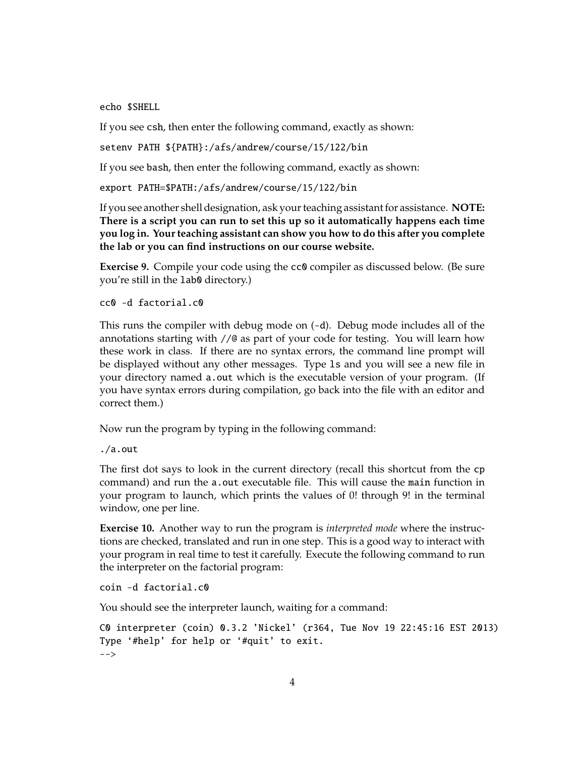echo \$SHELL

If you see csh, then enter the following command, exactly as shown:

setenv PATH \${PATH}:/afs/andrew/course/15/122/bin

If you see bash, then enter the following command, exactly as shown:

export PATH=\$PATH:/afs/andrew/course/15/122/bin

If you see another shell designation, ask your teaching assistant for assistance. **NOTE: There is a script you can run to set this up so it automatically happens each time you log in. Your teaching assistant can show you how to do this after you complete the lab or you can find instructions on our course website.**

**Exercise 9.** Compile your code using the cc0 compiler as discussed below. (Be sure you're still in the lab0 directory.)

```
cc0 -d factorial.c0
```
This runs the compiler with debug mode on (-d). Debug mode includes all of the annotations starting with //@ as part of your code for testing. You will learn how these work in class. If there are no syntax errors, the command line prompt will be displayed without any other messages. Type ls and you will see a new file in your directory named a.out which is the executable version of your program. (If you have syntax errors during compilation, go back into the file with an editor and correct them.)

Now run the program by typing in the following command:

./a.out

The first dot says to look in the current directory (recall this shortcut from the cp command) and run the a.out executable file. This will cause the main function in your program to launch, which prints the values of 0! through 9! in the terminal window, one per line.

**Exercise 10.** Another way to run the program is *interpreted mode* where the instructions are checked, translated and run in one step. This is a good way to interact with your program in real time to test it carefully. Execute the following command to run the interpreter on the factorial program:

coin -d factorial.c0

You should see the interpreter launch, waiting for a command:

```
C0 interpreter (coin) 0.3.2 'Nickel' (r364, Tue Nov 19 22:45:16 EST 2013)
Type '#help' for help or '#quit' to exit.
-->
```